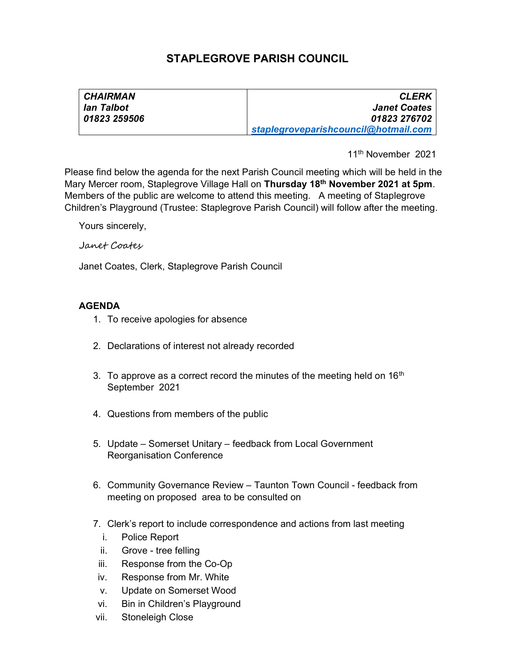# STAPLEGROVE PARISH COUNCIL

| <b>CHAIRMAN</b> | <b>CLERK</b>                         |
|-----------------|--------------------------------------|
| lan Talbot      | <b>Janet Coates</b>                  |
| 01823 259506    | 01823 276702                         |
|                 | staplegroveparishcouncil@hotmail.com |

11th November 2021

Please find below the agenda for the next Parish Council meeting which will be held in the Mary Mercer room, Staplegrove Village Hall on Thursday 18<sup>th</sup> November 2021 at 5pm. Members of the public are welcome to attend this meeting. A meeting of Staplegrove Children's Playground (Trustee: Staplegrove Parish Council) will follow after the meeting.

Yours sincerely,

#### Janet Coates

Janet Coates, Clerk, Staplegrove Parish Council

## AGENDA

- 1. To receive apologies for absence
- 2. Declarations of interest not already recorded
- 3. To approve as a correct record the minutes of the meeting held on  $16<sup>th</sup>$ September 2021
- 4. Questions from members of the public
- 5. Update Somerset Unitary feedback from Local Government Reorganisation Conference
- 6. Community Governance Review Taunton Town Council feedback from meeting on proposed area to be consulted on
- 7. Clerk's report to include correspondence and actions from last meeting
	- i. Police Report
	- ii. Grove tree felling
- iii. Response from the Co-Op
- iv. Response from Mr. White
- v. Update on Somerset Wood
- vi. Bin in Children's Playground
- vii. Stoneleigh Close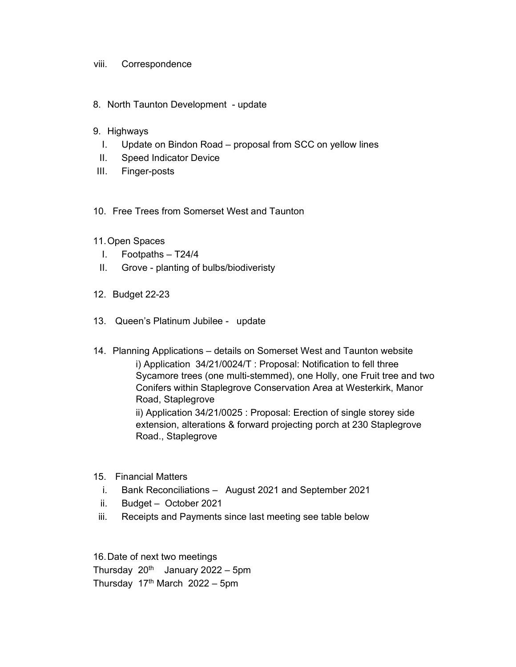### viii. Correspondence

8. North Taunton Development - update

#### 9. Highways

- I. Update on Bindon Road proposal from SCC on yellow lines
- II. Speed Indicator Device
- III. Finger-posts
- 10. Free Trees from Somerset West and Taunton
- 11. Open Spaces
	- I. Footpaths T24/4
	- II. Grove planting of bulbs/biodiveristy
- 12. Budget 22-23
- 13. Queen's Platinum Jubilee update
- 14. Planning Applications details on Somerset West and Taunton website i) Application 34/21/0024/T : Proposal: Notification to fell three Sycamore trees (one multi-stemmed), one Holly, one Fruit tree and two Conifers within Staplegrove Conservation Area at Westerkirk, Manor Road, Staplegrove ii) Application 34/21/0025 : Proposal: Erection of single storey side

extension, alterations & forward projecting porch at 230 Staplegrove Road., Staplegrove

- 15. Financial Matters
	- i. Bank Reconciliations August 2021 and September 2021
	- ii. Budget October 2021
- iii. Receipts and Payments since last meeting see table below

16. Date of next two meetings Thursday  $20^{th}$  January 2022 – 5pm Thursday  $17<sup>th</sup>$  March  $2022 - 5$ pm